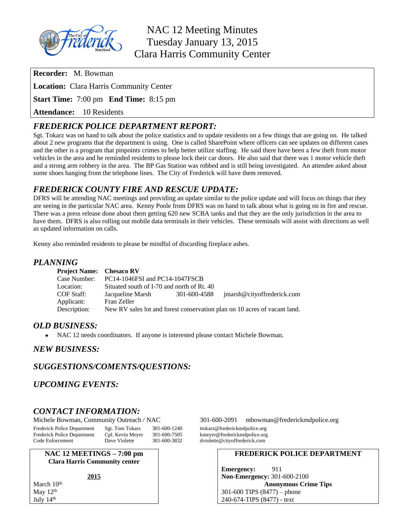

NAC 12 Meeting Minutes Tuesday January 13, 2015 Clara Harris Community Center

**Recorder:** M. Bowman

**Location:** Clara Harris Community Center

**Start Time:** 7:00 pm **End Time:** 8:15 pm

**Attendance:** 10 Residents

# *FREDERICK POLICE DEPARTMENT REPORT:*

Sgt. Tokarz was on hand to talk about the police statistics and to update residents on a few things that are going on. He talked about 2 new programs that the department is using. One is called SharePoint where officers can see updates on different cases and the other is a program that pinpoints crimes to help better utilize staffing. He said there have been a few theft from motor vehicles in the area and he reminded residents to please lock their car doors. He also said that there was 1 motor vehicle theft and a strong arm robbery in the area. The BP Gas Station was robbed and is still being investigated. An attendee asked about some shoes hanging from the telephone lines. The City of Frederick will have them removed.

## *FREDERICK COUNTY FIRE AND RESCUE UPDATE:*

DFRS will be attending NAC meetings and providing an update similar to the police update and will focus on things that they are seeing in the particular NAC area. Kenny Poole from DFRS was on hand to talk about what is going on in fire and rescue. There was a press release done about them getting 620 new SCBA tanks and that they are the only jurisdiction in the area to have them. DFRS is also rolling out mobile data terminals in their vehicles. These terminals will assist with directions as well as updated information on calls.

Kenny also reminded residents to please be mindful of discarding fireplace ashes.

### *PLANNING*

| <b>Project Name:</b> Chesaco RV |                                                                           |              |                            |
|---------------------------------|---------------------------------------------------------------------------|--------------|----------------------------|
| Case Number:                    | PC14-1046FSI and PC14-1047FSCB                                            |              |                            |
| Location:                       | Situated south of I-70 and north of Rt. 40                                |              |                            |
| COF Staff:                      | Jacqueline Marsh                                                          | 301-600-4588 | imarsh@cityoffrederick.com |
| Applicant:                      | Fran Zeller                                                               |              |                            |
| Description:                    | New RV sales lot and forest conservation plan on 10 acres of vacant land. |              |                            |

### *OLD BUSINESS:*

NAC 12 needs coordinators. If anyone is interested please contact Michele Bowman.

### *NEW BUSINESS:*

## *SUGGESTIONS/COMENTS/QUESTIONS:*

## *UPCOMING EVENTS:*

## *CONTACT INFORMATION:*

Frederick Police Department Sgt. Tom Tokarz 301-600-1240 ttokarz@frederickmdpolice.org<br>Frederick Police Department Cpl. Kevin Meyer 301-600-7505 kmeyer@frederickmdpolice.org Frederick Police Department Cpl. Kevin Meyer 301-600-7505 kmeyer@frederickmdpolice.org<br>Code Enforcement Dave Violette 301-600-3832 dviolette@cityoffrederick.com Code Enforcement Dave Violette 301-600-3832 dviolette@cityoffrederick.com

**NAC 12 MEETINGS – 7:00 pm Clara Harris Community center**

**2015**

March 10<sup>th</sup> May 12<sup>th</sup> July 14th

Michele Bowman, Community Outreach / NAC 301-600-2091 [mbowman@frederickmdpolice.org](mailto:mbowman@frederickmdpolice.org)

#### **FREDERICK POLICE DEPARTMENT**

**Emergency:** 911 **Non-Emergency:** 301-600-2100 **Anonymous Crime Tips** 301-600 TIPS (8477) – phone 240-674-TIPS (8477) - text